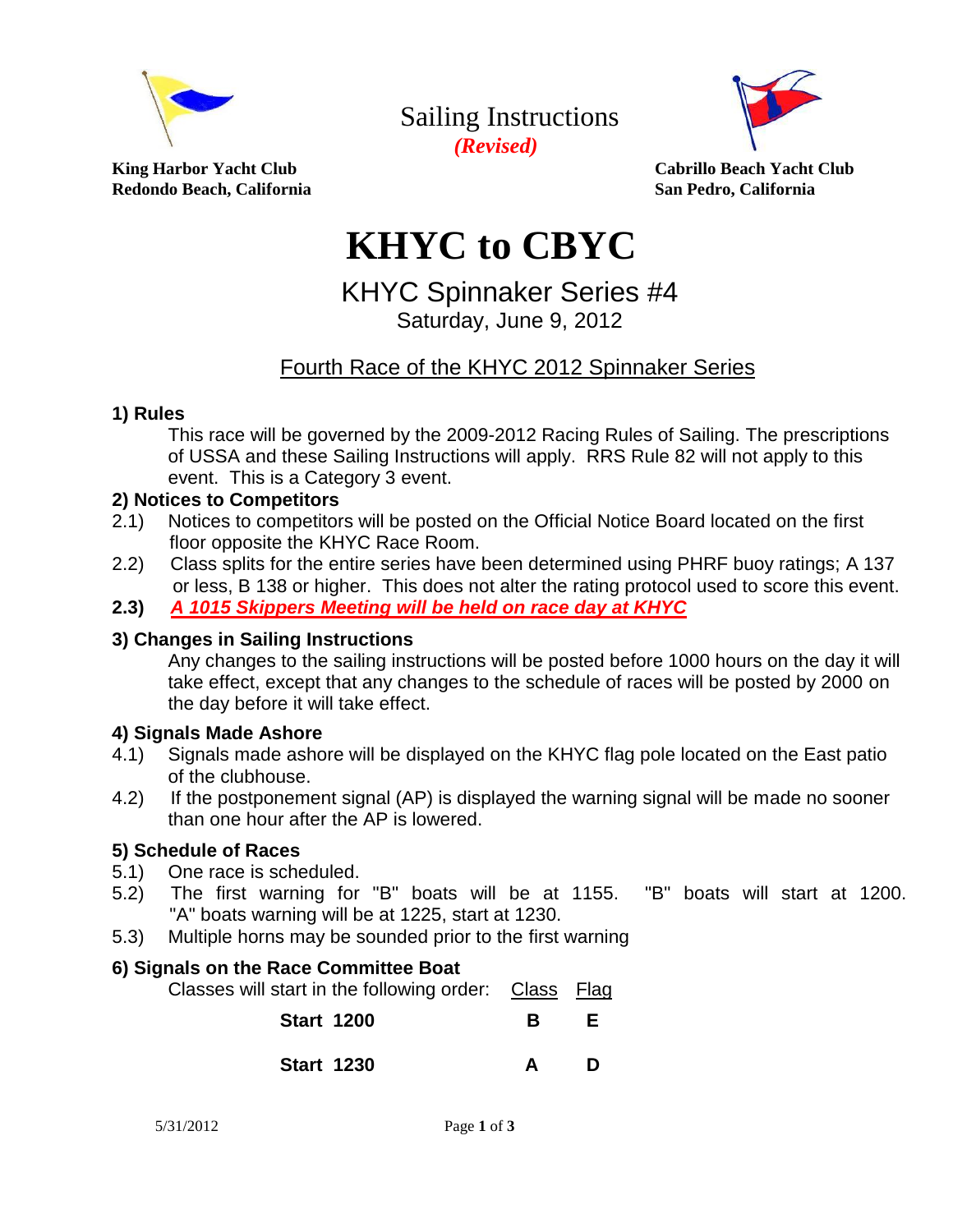

Sailing Instructions *(Revised)* 



King Harbor Yacht Club **Club Cabrillo Beach Yacht Club** Cabrillo Beach Yacht Club **Redondo Beach, California San Pedro, California**

# **KHYC to CBYC**

## KHYC Spinnaker Series #4 Saturday, June 9, 2012

### Fourth Race of the KHYC 2012 Spinnaker Series

#### **1) Rules**

This race will be governed by the 2009-2012 Racing Rules of Sailing. The prescriptions of USSA and these Sailing Instructions will apply. RRS Rule 82 will not apply to this event. This is a Category 3 event.

#### **2) Notices to Competitors**

- 2.1) Notices to competitors will be posted on the Official Notice Board located on the first floor opposite the KHYC Race Room.
- 2.2) Class splits for the entire series have been determined using PHRF buoy ratings; A 137 or less, B 138 or higher. This does not alter the rating protocol used to score this event.
- **2.3)** *A 1015 Skippers Meeting will be held on race day at KHYC*

#### **3) Changes in Sailing Instructions**

Any changes to the sailing instructions will be posted before 1000 hours on the day it will take effect, except that any changes to the schedule of races will be posted by 2000 on the day before it will take effect.

#### **4) Signals Made Ashore**

- 4.1) Signals made ashore will be displayed on the KHYC flag pole located on the East patio of the clubhouse.
- 4.2) If the postponement signal (AP) is displayed the warning signal will be made no sooner than one hour after the AP is lowered.

#### **5) Schedule of Races**

- 5.1) One race is scheduled.
- 5.2) The first warning for "B" boats will be at 1155. "B" boats will start at 1200. "A" boats warning will be at 1225, start at 1230.
- 5.3) Multiple horns may be sounded prior to the first warning

#### **6) Signals on the Race Committee Boat**

Classes will start in the following order: Class Flag

| <b>Start 1200</b> |  | B | E. |
|-------------------|--|---|----|
|                   |  |   |    |

| <b>Start 1230</b> |  |  |
|-------------------|--|--|
|                   |  |  |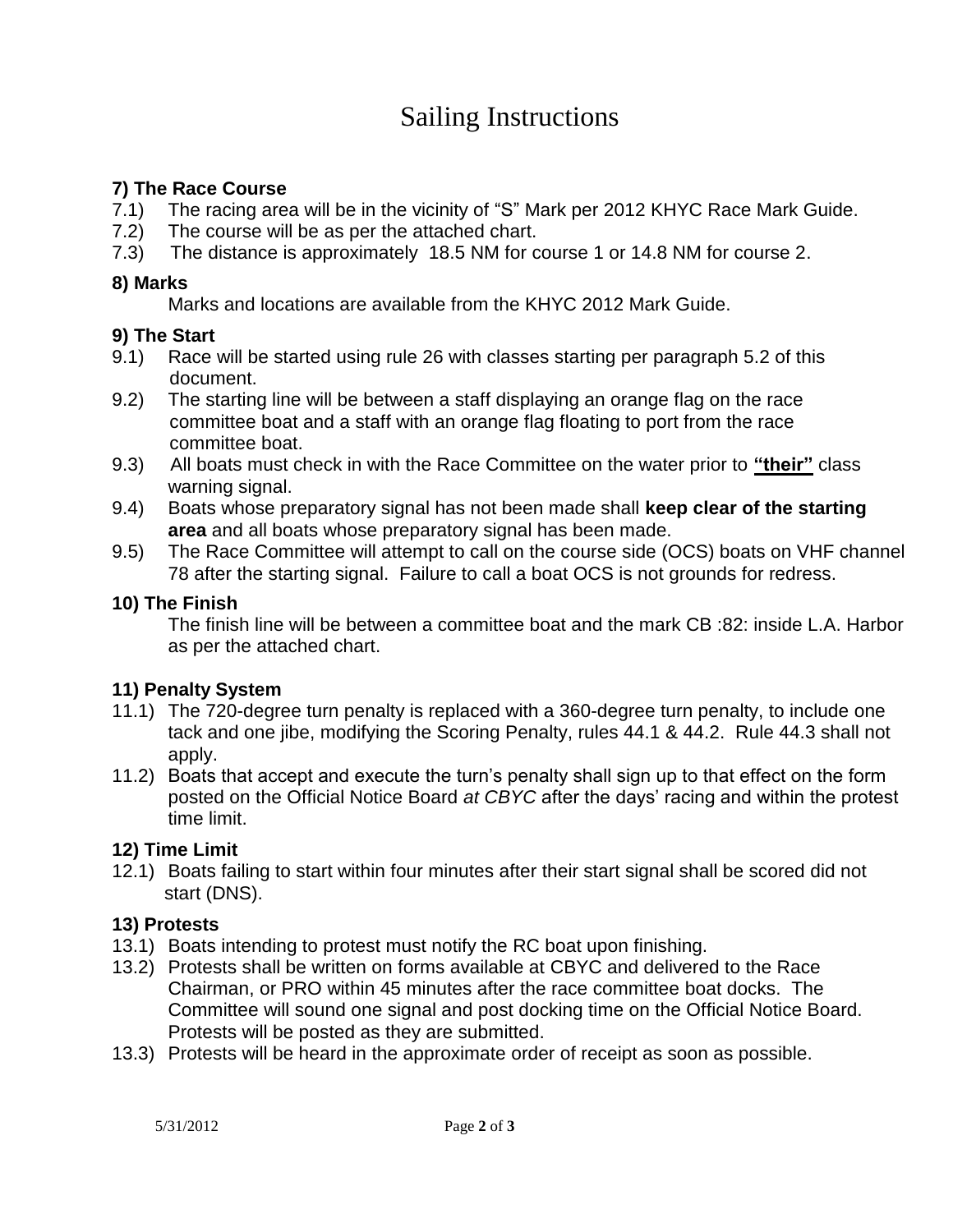# Sailing Instructions

#### **7) The Race Course**

- 7.1) The racing area will be in the vicinity of "S" Mark per 2012 KHYC Race Mark Guide.
- 7.2) The course will be as per the attached chart.
- 7.3) The distance is approximately 18.5 NM for course 1 or 14.8 NM for course 2.

#### **8) Marks**

Marks and locations are available from the KHYC 2012 Mark Guide.

#### **9) The Start**

- 9.1) Race will be started using rule 26 with classes starting per paragraph 5.2 of this document.
- 9.2) The starting line will be between a staff displaying an orange flag on the race committee boat and a staff with an orange flag floating to port from the race committee boat.
- 9.3) All boats must check in with the Race Committee on the water prior to **"their"** class warning signal.
- 9.4) Boats whose preparatory signal has not been made shall **keep clear of the starting area** and all boats whose preparatory signal has been made.
- 9.5) The Race Committee will attempt to call on the course side (OCS) boats on VHF channel 78 after the starting signal. Failure to call a boat OCS is not grounds for redress.

#### **10) The Finish**

The finish line will be between a committee boat and the mark CB :82: inside L.A. Harbor as per the attached chart.

#### **11) Penalty System**

- 11.1) The 720-degree turn penalty is replaced with a 360-degree turn penalty, to include one tack and one jibe, modifying the Scoring Penalty, rules 44.1 & 44.2. Rule 44.3 shall not apply.
- 11.2) Boats that accept and execute the turn's penalty shall sign up to that effect on the form posted on the Official Notice Board *at CBYC* after the days' racing and within the protest time limit.

#### **12) Time Limit**

12.1) Boats failing to start within four minutes after their start signal shall be scored did not start (DNS).

#### **13) Protests**

- 13.1) Boats intending to protest must notify the RC boat upon finishing.
- 13.2) Protests shall be written on forms available at CBYC and delivered to the Race Chairman, or PRO within 45 minutes after the race committee boat docks. The Committee will sound one signal and post docking time on the Official Notice Board. Protests will be posted as they are submitted.
- 13.3) Protests will be heard in the approximate order of receipt as soon as possible.